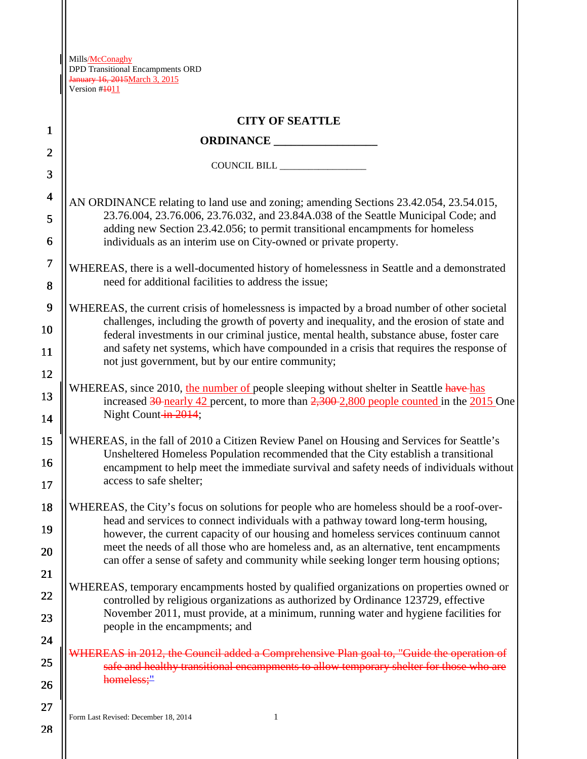∥

| $\mathbf{1}$            | <b>CITY OF SEATTLE</b>                                                                                                                                                               |  |  |  |  |  |
|-------------------------|--------------------------------------------------------------------------------------------------------------------------------------------------------------------------------------|--|--|--|--|--|
|                         |                                                                                                                                                                                      |  |  |  |  |  |
| $\overline{2}$          |                                                                                                                                                                                      |  |  |  |  |  |
| 3                       |                                                                                                                                                                                      |  |  |  |  |  |
| $\overline{\mathbf{4}}$ | AN ORDINANCE relating to land use and zoning; amending Sections 23.42.054, 23.54.015,                                                                                                |  |  |  |  |  |
| 5                       | 23.76.004, 23.76.006, 23.76.032, and 23.84A.038 of the Seattle Municipal Code; and<br>adding new Section 23.42.056; to permit transitional encampments for homeless                  |  |  |  |  |  |
| 6                       | individuals as an interim use on City-owned or private property.                                                                                                                     |  |  |  |  |  |
| $\overline{7}$<br>8     | WHEREAS, there is a well-documented history of homelessness in Seattle and a demonstrated<br>need for additional facilities to address the issue;                                    |  |  |  |  |  |
| $\boldsymbol{9}$        | WHEREAS, the current crisis of homelessness is impacted by a broad number of other societal                                                                                          |  |  |  |  |  |
| 10                      | challenges, including the growth of poverty and inequality, and the erosion of state and<br>federal investments in our criminal justice, mental health, substance abuse, foster care |  |  |  |  |  |
| 11                      | and safety net systems, which have compounded in a crisis that requires the response of                                                                                              |  |  |  |  |  |
| 12                      | not just government, but by our entire community;                                                                                                                                    |  |  |  |  |  |
| 13                      | WHEREAS, since 2010, the number of people sleeping without shelter in Seattle have-has                                                                                               |  |  |  |  |  |
| 14                      | increased $30$ -nearly $42$ percent, to more than $2,300$ - $2,800$ people counted in the $2015$ One<br>Night Count-in-2014;                                                         |  |  |  |  |  |
| 15                      | WHEREAS, in the fall of 2010 a Citizen Review Panel on Housing and Services for Seattle's                                                                                            |  |  |  |  |  |
| 16                      | Unsheltered Homeless Population recommended that the City establish a transitional                                                                                                   |  |  |  |  |  |
| 17                      | encampment to help meet the immediate survival and safety needs of individuals without<br>access to safe shelter;                                                                    |  |  |  |  |  |
| 18                      | WHEREAS, the City's focus on solutions for people who are homeless should be a roof-over-                                                                                            |  |  |  |  |  |
| 19                      | head and services to connect individuals with a pathway toward long-term housing,<br>however, the current capacity of our housing and homeless services continuum cannot             |  |  |  |  |  |
| 20                      | meet the needs of all those who are homeless and, as an alternative, tent encampments<br>can offer a sense of safety and community while seeking longer term housing options;        |  |  |  |  |  |
| 21                      |                                                                                                                                                                                      |  |  |  |  |  |
| 22                      | WHEREAS, temporary encampments hosted by qualified organizations on properties owned or<br>controlled by religious organizations as authorized by Ordinance 123729, effective        |  |  |  |  |  |
| 23                      | November 2011, must provide, at a minimum, running water and hygiene facilities for                                                                                                  |  |  |  |  |  |
| 24                      | people in the encampments; and                                                                                                                                                       |  |  |  |  |  |
| 25                      | VHEREAS in 2012, the Council added a Comprehensive Plan goal to, "Guide the operation of<br>safe and healthy transitional encampments to allow temporary shelter for those who are   |  |  |  |  |  |
| 26                      | homeless;"                                                                                                                                                                           |  |  |  |  |  |
| 27                      |                                                                                                                                                                                      |  |  |  |  |  |

Form Last Revised: December 18, 2014 1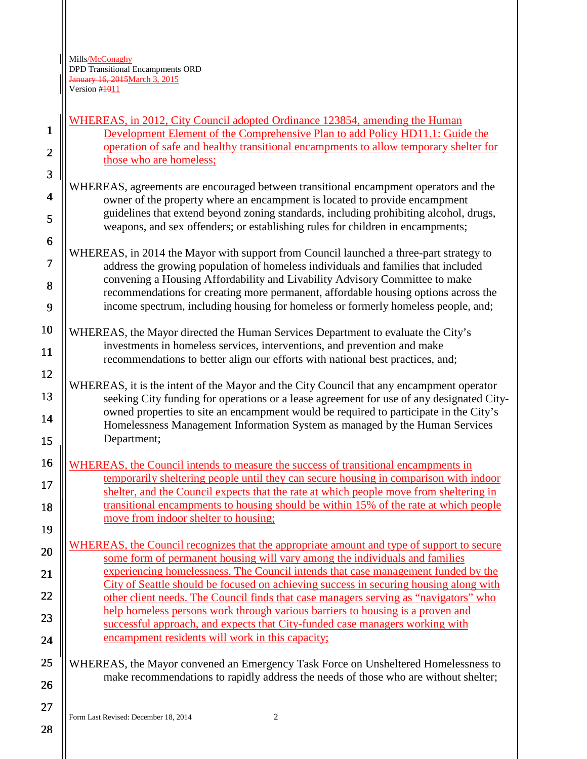WHEREAS, in 2012, City Council adopted Ordinance 123854, amending the Human Development Element of the Comprehensive Plan to add Policy HD11.1: Guide the operation of safe and healthy transitional encampments to allow temporary shelter for those who are homeless;

WHEREAS, agreements are encouraged between transitional encampment operators and the owner of the property where an encampment is located to provide encampment guidelines that extend beyond zoning standards, including prohibiting alcohol, drugs, weapons, and sex offenders; or establishing rules for children in encampments;

WHEREAS, in 2014 the Mayor with support from Council launched a three-part strategy to address the growing population of homeless individuals and families that included convening a Housing Affordability and Livability Advisory Committee to make recommendations for creating more permanent, affordable housing options across the income spectrum, including housing for homeless or formerly homeless people, and;

WHEREAS, the Mayor directed the Human Services Department to evaluate the City's investments in homeless services, interventions, and prevention and make recommendations to better align our efforts with national best practices, and;

WHEREAS, it is the intent of the Mayor and the City Council that any encampment operator seeking City funding for operations or a lease agreement for use of any designated Cityowned properties to site an encampment would be required to participate in the City's Homelessness Management Information System as managed by the Human Services Department;

WHEREAS, the Council intends to measure the success of transitional encampments in temporarily sheltering people until they can secure housing in comparison with indoor shelter, and the Council expects that the rate at which people move from sheltering in transitional encampments to housing should be within 15% of the rate at which people move from indoor shelter to housing;

WHEREAS, the Council recognizes that the appropriate amount and type of support to secure some form of permanent housing will vary among the individuals and families experiencing homelessness. The Council intends that case management funded by the City of Seattle should be focused on achieving success in securing housing along with other client needs. The Council finds that case managers serving as "navigators" who help homeless persons work through various barriers to housing is a proven and successful approach, and expects that City-funded case managers working with encampment residents will work in this capacity;

WHEREAS, the Mayor convened an Emergency Task Force on Unsheltered Homelessness to make recommendations to rapidly address the needs of those who are without shelter;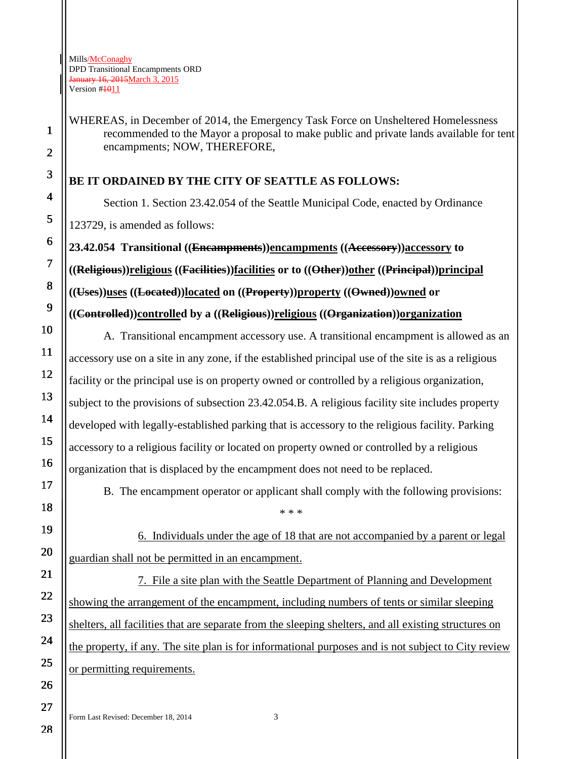WHEREAS, in December of 2014, the Emergency Task Force on Unsheltered Homelessness recommended to the Mayor a proposal to make public and private lands available for tent encampments; NOW, THEREFORE,

## **BE IT ORDAINED BY THE CITY OF SEATTLE AS FOLLOWS:**

Section 1. Section 23.42.054 of the Seattle Municipal Code, enacted by Ordinance 123729, is amended as follows:

**23.42.054 Transitional ((Encampments))encampments ((Accessory))accessory to ((Religious))religious ((Facilities))facilities or to ((Other))other ((Principal))principal ((Uses))uses ((Located))located on ((Property))property ((Owned))owned or** 

**((Controlled))controlled by a ((Religious))religious ((Organization))organization**

A. Transitional encampment accessory use. A transitional encampment is allowed as an accessory use on a site in any zone, if the established principal use of the site is as a religious facility or the principal use is on property owned or controlled by a religious organization, subject to the provisions of subsection 23.42.054.B. A religious facility site includes property developed with legally-established parking that is accessory to the religious facility. Parking accessory to a religious facility or located on property owned or controlled by a religious organization that is displaced by the encampment does not need to be replaced.

B. The encampment operator or applicant shall comply with the following provisions:

\* \* \*

6. Individuals under the age of 18 that are not accompanied by a parent or legal guardian shall not be permitted in an encampment.

7. File a site plan with the Seattle Department of Planning and Development showing the arrangement of the encampment, including numbers of tents or similar sleeping shelters, all facilities that are separate from the sleeping shelters, and all existing structures on the property, if any. The site plan is for informational purposes and is not subject to City review or permitting requirements.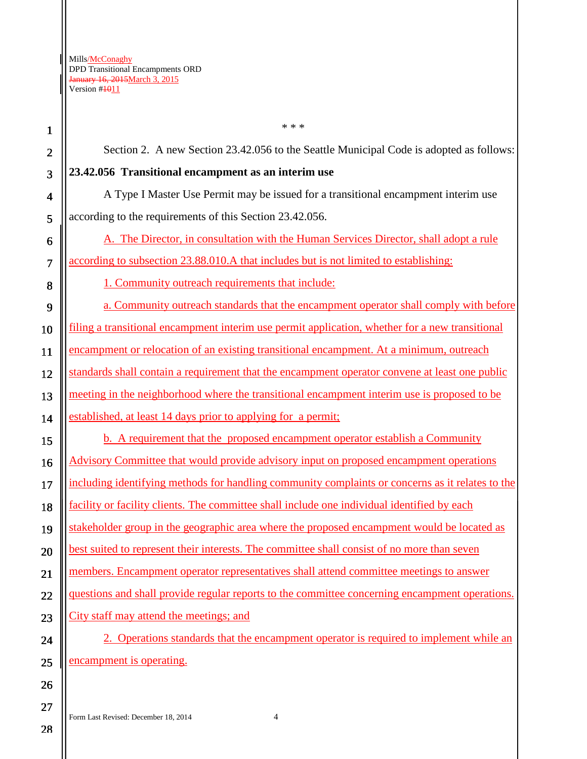1 2 3 4 5 6 7 8 9 10 11 12 13 14 15 16 17 18 19 20 21 22 23 24 25 26 \* \* \* Section 2. A new Section 23.42.056 to the Seattle Municipal Code is adopted as follows: **23.42.056 Transitional encampment as an interim use** A Type I Master Use Permit may be issued for a transitional encampment interim use according to the requirements of this Section 23.42.056. A. The Director, in consultation with the Human Services Director, shall adopt a rule according to subsection 23.88.010.A that includes but is not limited to establishing: 1. Community outreach requirements that include: a. Community outreach standards that the encampment operator shall comply with before filing a transitional encampment interim use permit application, whether for a new transitional encampment or relocation of an existing transitional encampment. At a minimum, outreach standards shall contain a requirement that the encampment operator convene at least one public meeting in the neighborhood where the transitional encampment interim use is proposed to be established, at least 14 days prior to applying for a permit; b. A requirement that the proposed encampment operator establish a Community Advisory Committee that would provide advisory input on proposed encampment operations including identifying methods for handling community complaints or concerns as it relates to the facility or facility clients. The committee shall include one individual identified by each stakeholder group in the geographic area where the proposed encampment would be located as best suited to represent their interests. The committee shall consist of no more than seven members. Encampment operator representatives shall attend committee meetings to answer questions and shall provide regular reports to the committee concerning encampment operations. City staff may attend the meetings; and 2. Operations standards that the encampment operator is required to implement while an encampment is operating.

28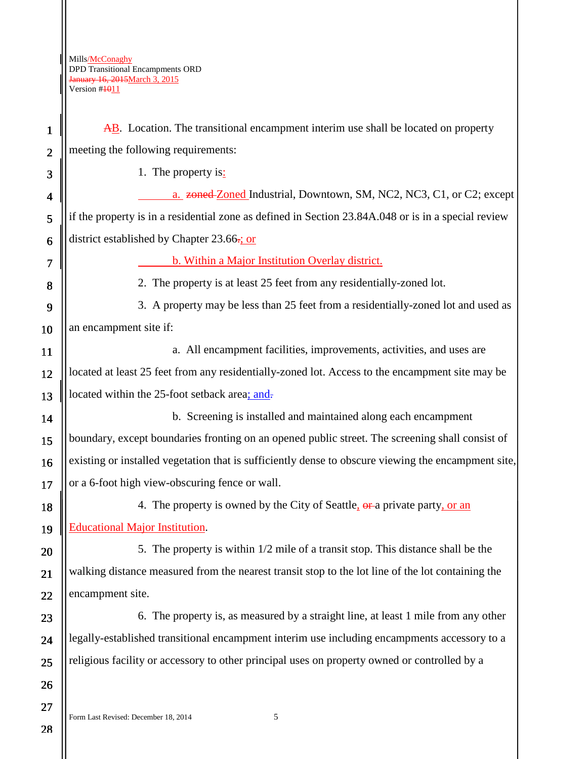$\mathbb{I}$ 

| $\mathbf{1}$   | AB. Location. The transitional encampment interim use shall be located on property                  |  |  |  |  |  |
|----------------|-----------------------------------------------------------------------------------------------------|--|--|--|--|--|
| $\overline{2}$ | meeting the following requirements:                                                                 |  |  |  |  |  |
| 3              | 1. The property is:                                                                                 |  |  |  |  |  |
| 4              | a. zoned Zoned Industrial, Downtown, SM, NC2, NC3, C1, or C2; except                                |  |  |  |  |  |
| 5              | if the property is in a residential zone as defined in Section 23.84A.048 or is in a special review |  |  |  |  |  |
| 6              | district established by Chapter 23.66-; or                                                          |  |  |  |  |  |
| 7              | b. Within a Major Institution Overlay district.                                                     |  |  |  |  |  |
| 8              | 2. The property is at least 25 feet from any residentially-zoned lot.                               |  |  |  |  |  |
| 9              | 3. A property may be less than 25 feet from a residentially-zoned lot and used as                   |  |  |  |  |  |
| 10             | an encampment site if:                                                                              |  |  |  |  |  |
| 11             | a. All encampment facilities, improvements, activities, and uses are                                |  |  |  |  |  |
| 12             | located at least 25 feet from any residentially-zoned lot. Access to the encampment site may be     |  |  |  |  |  |
| 13             | located within the 25-foot setback area; and-                                                       |  |  |  |  |  |
| 14             | b. Screening is installed and maintained along each encampment                                      |  |  |  |  |  |
| 15             | boundary, except boundaries fronting on an opened public street. The screening shall consist of     |  |  |  |  |  |
| 16             | existing or installed vegetation that is sufficiently dense to obscure viewing the encampment site, |  |  |  |  |  |
| 17             | or a 6-foot high view-obscuring fence or wall.                                                      |  |  |  |  |  |
| 18             | 4. The property is owned by the City of Seattle, or a private party, or an                          |  |  |  |  |  |
| 19             | <b>Educational Major Institution.</b>                                                               |  |  |  |  |  |
| 20             | 5. The property is within 1/2 mile of a transit stop. This distance shall be the                    |  |  |  |  |  |
| 21             | walking distance measured from the nearest transit stop to the lot line of the lot containing the   |  |  |  |  |  |
| 22             | encampment site.                                                                                    |  |  |  |  |  |
| 23             | 6. The property is, as measured by a straight line, at least 1 mile from any other                  |  |  |  |  |  |
| 24             | legally-established transitional encampment interim use including encampments accessory to a        |  |  |  |  |  |
| 25             | religious facility or accessory to other principal uses on property owned or controlled by a        |  |  |  |  |  |
| 26             |                                                                                                     |  |  |  |  |  |
| 27             |                                                                                                     |  |  |  |  |  |
| 28             | 5<br>Form Last Revised: December 18, 2014                                                           |  |  |  |  |  |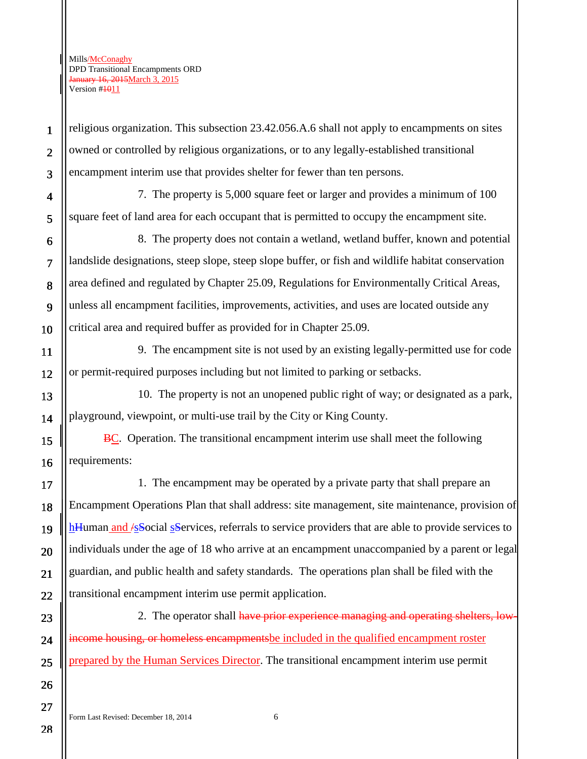1

2

3

6

7

8

9

10

13

14

15

16

17

18

19

20

21

22

23

24

25

26

27

religious organization. This subsection 23.42.056.A.6 shall not apply to encampments on sites owned or controlled by religious organizations, or to any legally-established transitional encampment interim use that provides shelter for fewer than ten persons.

4 5 7. The property is 5,000 square feet or larger and provides a minimum of 100 square feet of land area for each occupant that is permitted to occupy the encampment site.

8. The property does not contain a wetland, wetland buffer, known and potential landslide designations, steep slope, steep slope buffer, or fish and wildlife habitat conservation area defined and regulated by Chapter 25.09, Regulations for Environmentally Critical Areas, unless all encampment facilities, improvements, activities, and uses are located outside any critical area and required buffer as provided for in Chapter 25.09.

11 12 9. The encampment site is not used by an existing legally-permitted use for code or permit-required purposes including but not limited to parking or setbacks.

10. The property is not an unopened public right of way; or designated as a park, playground, viewpoint, or multi-use trail by the City or King County.

BC. Operation. The transitional encampment interim use shall meet the following requirements:

1. The encampment may be operated by a private party that shall prepare an Encampment Operations Plan that shall address: site management, site maintenance, provision of hHuman and */sSocial sServices*, referrals to service providers that are able to provide services to individuals under the age of 18 who arrive at an encampment unaccompanied by a parent or legal guardian, and public health and safety standards. The operations plan shall be filed with the transitional encampment interim use permit application.

2. The operator shall have prior experience managing and operating shelters, lowneome housing, or homeless encampmentsbe included in the qualified encampment roster prepared by the Human Services Director. The transitional encampment interim use permit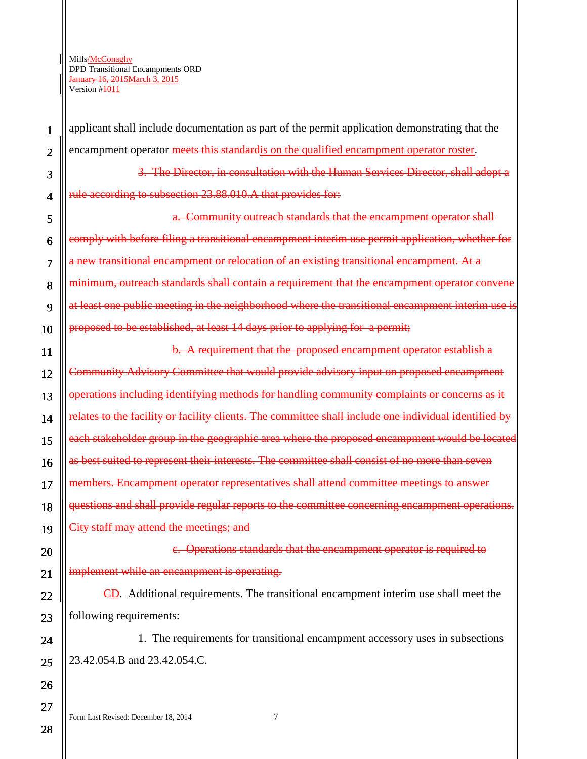1

2

3

4

5

6

7

8

9

10

11

12

13

14

15

16

17

18

19

20

21

22

23

24

25

26

27

applicant shall include documentation as part of the permit application demonstrating that the encampment operator meets this standard is on the qualified encampment operator roster.

3. The Director, in consultation with the Human Services Director, shall adopt a rule according to subsection 23.88.010.A that provides for:

a. Community outreach standards that the encampment operator shall comply with before filing a transitional encampment interim use permit application, whether for a new transitional encampment or relocation of an existing transitional encampment. At a minimum, outreach standards shall contain a requirement that the encampment operator convene at least one public meeting in the neighborhood where the transitional encampment interim use is proposed to be established, at least 14 days prior to applying for a permit;

b. A requirement that the proposed encampment operator establish a Community Advisory Committee that would provide advisory input on proposed encampment operations including identifying methods for handling community complaints or concerns as it relates to the facility or facility clients. The committee shall include one individual identified by each stakeholder group in the geographic area where the proposed encampment would be located as best suited to represent their interests. The committee shall consist of no more than seven members. Encampment operator representatives shall attend committee meetings to answer questions and shall provide regular reports to the committee concerning encampment operations. City staff may attend the meetings; and

c. Operations standards that the encampment operator is required to implement while an encampment is operating.

CD. Additional requirements. The transitional encampment interim use shall meet the following requirements:

1. The requirements for transitional encampment accessory uses in subsections 23.42.054.B and 23.42.054.C.

Form Last Revised: December 18, 2014 7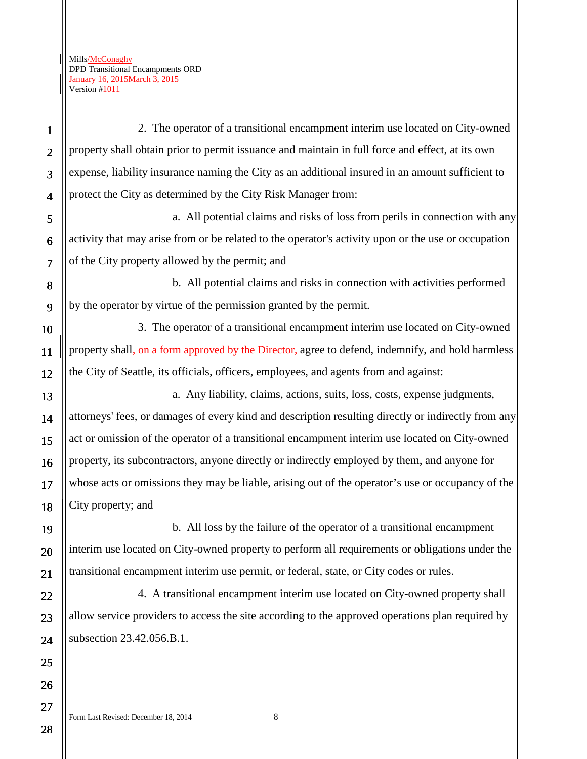Form Last Revised: December 18, 2014 8 1 2 3 4 5 6 7 8 9 10 11 12 13 14 15 16 17 18 19 20 21 22 23 24 25 26 27 2. The operator of a transitional encampment interim use located on City-owned property shall obtain prior to permit issuance and maintain in full force and effect, at its own expense, liability insurance naming the City as an additional insured in an amount sufficient to protect the City as determined by the City Risk Manager from: a. All potential claims and risks of loss from perils in connection with any activity that may arise from or be related to the operator's activity upon or the use or occupation of the City property allowed by the permit; and b. All potential claims and risks in connection with activities performed by the operator by virtue of the permission granted by the permit. 3. The operator of a transitional encampment interim use located on City-owned property shall, on a form approved by the Director, agree to defend, indemnify, and hold harmless the City of Seattle, its officials, officers, employees, and agents from and against: a. Any liability, claims, actions, suits, loss, costs, expense judgments, attorneys' fees, or damages of every kind and description resulting directly or indirectly from any act or omission of the operator of a transitional encampment interim use located on City-owned property, its subcontractors, anyone directly or indirectly employed by them, and anyone for whose acts or omissions they may be liable, arising out of the operator's use or occupancy of the City property; and b. All loss by the failure of the operator of a transitional encampment interim use located on City-owned property to perform all requirements or obligations under the transitional encampment interim use permit, or federal, state, or City codes or rules. 4. A transitional encampment interim use located on City-owned property shall allow service providers to access the site according to the approved operations plan required by subsection 23.42.056.B.1.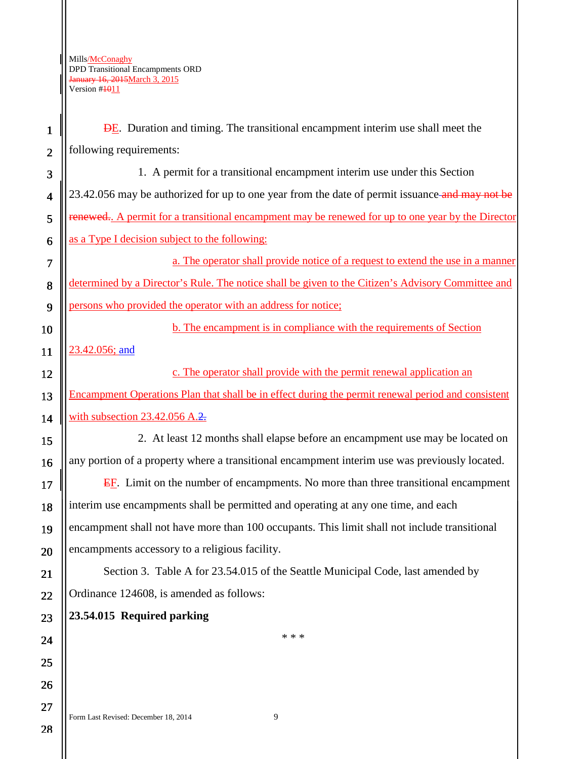DE. Duration and timing. The transitional encampment interim use shall meet the following requirements:

3 4 5 6 1. A permit for a transitional encampment interim use under this Section 23.42.056 may be authorized for up to one year from the date of permit issuance and may not be renewed.. A permit for a transitional encampment may be renewed for up to one year by the Director as a Type I decision subject to the following:

a. The operator shall provide notice of a request to extend the use in a manner determined by a Director's Rule. The notice shall be given to the Citizen's Advisory Committee and persons who provided the operator with an address for notice;

b. The encampment is in compliance with the requirements of Section

23.42.056; and

1

2

7

8

9

10

11

12

13

14

15

16

17

18

19

20

21

22

23

24

25

26

27

c. The operator shall provide with the permit renewal application an Encampment Operations Plan that shall be in effect during the permit renewal period and consistent with subsection  $23.42.056$  A. $2$ .

2. At least 12 months shall elapse before an encampment use may be located on any portion of a property where a transitional encampment interim use was previously located.

EF. Limit on the number of encampments. No more than three transitional encampment interim use encampments shall be permitted and operating at any one time, and each encampment shall not have more than 100 occupants. This limit shall not include transitional encampments accessory to a religious facility.

Section 3. Table A for 23.54.015 of the Seattle Municipal Code, last amended by Ordinance 124608, is amended as follows:

## **23.54.015 Required parking**

\* \* \*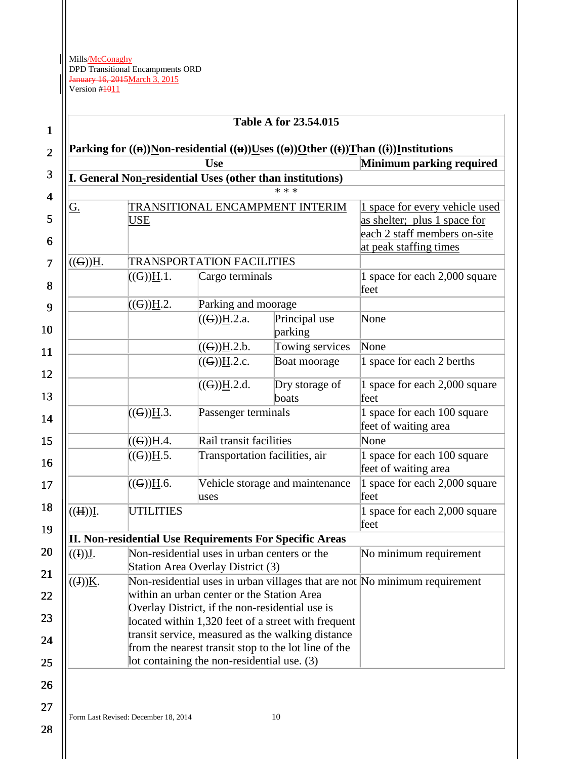| <b>Table A for 23.54.015</b>                                                      |                                                      |                                                                                   |                                                                            |                                                        |  |  |  |
|-----------------------------------------------------------------------------------|------------------------------------------------------|-----------------------------------------------------------------------------------|----------------------------------------------------------------------------|--------------------------------------------------------|--|--|--|
|                                                                                   |                                                      | Parking for ((n))Non-residential ((u))Uses ((o))Other ((t))Than ((i))Institutions |                                                                            |                                                        |  |  |  |
| <b>Use</b>                                                                        |                                                      |                                                                                   |                                                                            | Minimum parking required                               |  |  |  |
| I. General Non-residential Uses (other than institutions)                         |                                                      |                                                                                   |                                                                            |                                                        |  |  |  |
| * * *                                                                             |                                                      |                                                                                   |                                                                            |                                                        |  |  |  |
| <u>G.</u>                                                                         |                                                      | TRANSITIONAL ENCAMPMENT INTERIM                                                   | 1 space for every vehicle used                                             |                                                        |  |  |  |
|                                                                                   | USE                                                  |                                                                                   |                                                                            | as shelter; plus 1 space for                           |  |  |  |
|                                                                                   |                                                      |                                                                                   |                                                                            | each 2 staff members on-site<br>at peak staffing times |  |  |  |
|                                                                                   |                                                      |                                                                                   |                                                                            |                                                        |  |  |  |
| $((G))\underline{H}$ .                                                            |                                                      | <b>TRANSPORTATION FACILITIES</b>                                                  |                                                                            |                                                        |  |  |  |
|                                                                                   | $((G)$ <u>H</u> .1.                                  | Cargo terminals                                                                   |                                                                            | 1 space for each 2,000 square<br>feet                  |  |  |  |
|                                                                                   | ((G))H.2.                                            | Parking and moorage                                                               |                                                                            |                                                        |  |  |  |
|                                                                                   |                                                      | $((G)$ <u>H</u> .2.a.                                                             | Principal use<br>parking                                                   | None                                                   |  |  |  |
|                                                                                   |                                                      | $((G)$ <u>H</u> .2.b.                                                             | Towing services                                                            | None                                                   |  |  |  |
|                                                                                   |                                                      | $((G)$ <u>H</u> .2.c.                                                             | Boat moorage                                                               | 1 space for each 2 berths                              |  |  |  |
|                                                                                   |                                                      | $((G)$ <u>H</u> .2.d.                                                             | Dry storage of<br>boats                                                    | 1 space for each 2,000 square<br>feet                  |  |  |  |
|                                                                                   | $((G))\underline{H}.3.$                              | Passenger terminals                                                               |                                                                            | 1 space for each 100 square<br>feet of waiting area    |  |  |  |
|                                                                                   | $((G)$ <u>H</u> .4.                                  | Rail transit facilities                                                           |                                                                            | None                                                   |  |  |  |
|                                                                                   | $((G)$ <u>H</u> .5.                                  |                                                                                   | Transportation facilities, air                                             | 1 space for each 100 square<br>feet of waiting area    |  |  |  |
|                                                                                   | $((G)$ <u>H</u> .6.                                  | uses                                                                              | Vehicle storage and maintenance                                            | 1 space for each 2,000 square<br>feet                  |  |  |  |
| ((H))I.                                                                           | <b>UTILITIES</b>                                     |                                                                                   |                                                                            | 1 space for each 2,000 square<br>feet                  |  |  |  |
| <b>II. Non-residential Use Requirements For Specific Areas</b>                    |                                                      |                                                                                   |                                                                            |                                                        |  |  |  |
| Non-residential uses in urban centers or the<br>((I))J.<br>No minimum requirement |                                                      |                                                                                   |                                                                            |                                                        |  |  |  |
|                                                                                   |                                                      | Station Area Overlay District (3)                                                 |                                                                            |                                                        |  |  |  |
| $((J))\underline{K}.$                                                             |                                                      |                                                                                   | Non-residential uses in urban villages that are not No minimum requirement |                                                        |  |  |  |
|                                                                                   | within an urban center or the Station Area           |                                                                                   |                                                                            |                                                        |  |  |  |
|                                                                                   | Overlay District, if the non-residential use is      |                                                                                   |                                                                            |                                                        |  |  |  |
|                                                                                   |                                                      | located within 1,320 feet of a street with frequent                               |                                                                            |                                                        |  |  |  |
|                                                                                   | transit service, measured as the walking distance    |                                                                                   |                                                                            |                                                        |  |  |  |
|                                                                                   | from the nearest transit stop to the lot line of the |                                                                                   |                                                                            |                                                        |  |  |  |
|                                                                                   |                                                      | lot containing the non-residential use. (3)                                       |                                                                            |                                                        |  |  |  |

28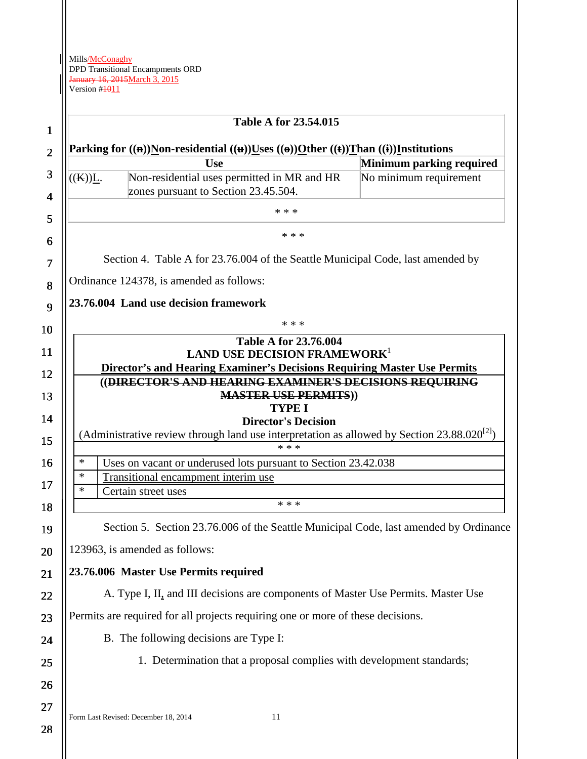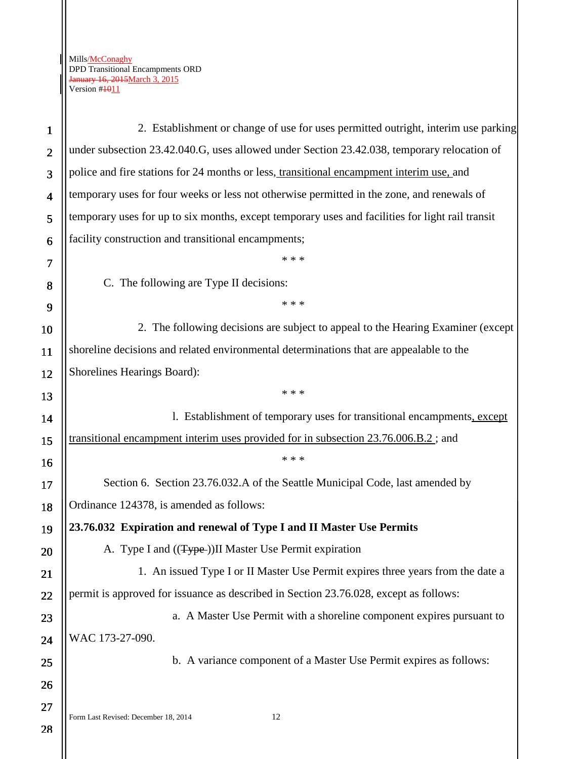28

2. Establishment or change of use for uses permitted outright, interim use parking under subsection 23.42.040.G, uses allowed under Section 23.42.038, temporary relocation of police and fire stations for 24 months or less, transitional encampment interim use, and temporary uses for four weeks or less not otherwise permitted in the zone, and renewals of temporary uses for up to six months, except temporary uses and facilities for light rail transit facility construction and transitional encampments; \* \* \*

C. The following are Type II decisions:

\* \* \*

2. The following decisions are subject to appeal to the Hearing Examiner (except shoreline decisions and related environmental determinations that are appealable to the Shorelines Hearings Board):

\* \* \*

l. Establishment of temporary uses for transitional encampments, except transitional encampment interim uses provided for in subsection 23.76.006.B.2 ; and \* \* \* Section 6. Section 23.76.032.A of the Seattle Municipal Code, last amended by

Ordinance 124378, is amended as follows:

**23.76.032 Expiration and renewal of Type I and II Master Use Permits**

A. Type I and  $((Type-))$ II Master Use Permit expiration

1. An issued Type I or II Master Use Permit expires three years from the date a permit is approved for issuance as described in Section 23.76.028, except as follows:

a. A Master Use Permit with a shoreline component expires pursuant to WAC 173-27-090.

b. A variance component of a Master Use Permit expires as follows: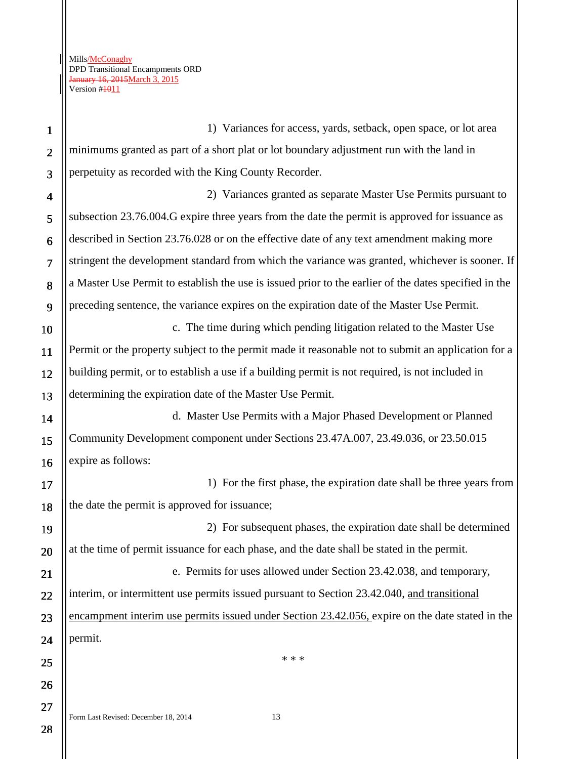1 2 3 4 5 6 7 8 9 10 1) Variances for access, yards, setback, open space, or lot area minimums granted as part of a short plat or lot boundary adjustment run with the land in perpetuity as recorded with the King County Recorder. 2) Variances granted as separate Master Use Permits pursuant to subsection 23.76.004.G expire three years from the date the permit is approved for issuance as described in Section 23.76.028 or on the effective date of any text amendment making more stringent the development standard from which the variance was granted, whichever is sooner. If a Master Use Permit to establish the use is issued prior to the earlier of the dates specified in the preceding sentence, the variance expires on the expiration date of the Master Use Permit. c. The time during which pending litigation related to the Master Use

11 12 13 Permit or the property subject to the permit made it reasonable not to submit an application for a building permit, or to establish a use if a building permit is not required, is not included in determining the expiration date of the Master Use Permit.

d. Master Use Permits with a Major Phased Development or Planned Community Development component under Sections 23.47A.007, 23.49.036, or 23.50.015 expire as follows:

1) For the first phase, the expiration date shall be three years from the date the permit is approved for issuance;

19 20 21 22 2) For subsequent phases, the expiration date shall be determined at the time of permit issuance for each phase, and the date shall be stated in the permit. e. Permits for uses allowed under Section 23.42.038, and temporary, interim, or intermittent use permits issued pursuant to Section 23.42.040, and transitional

23 24 encampment interim use permits issued under Section 23.42.056, expire on the date stated in the permit.

\* \* \*

28

25

26

27

14

15

16

17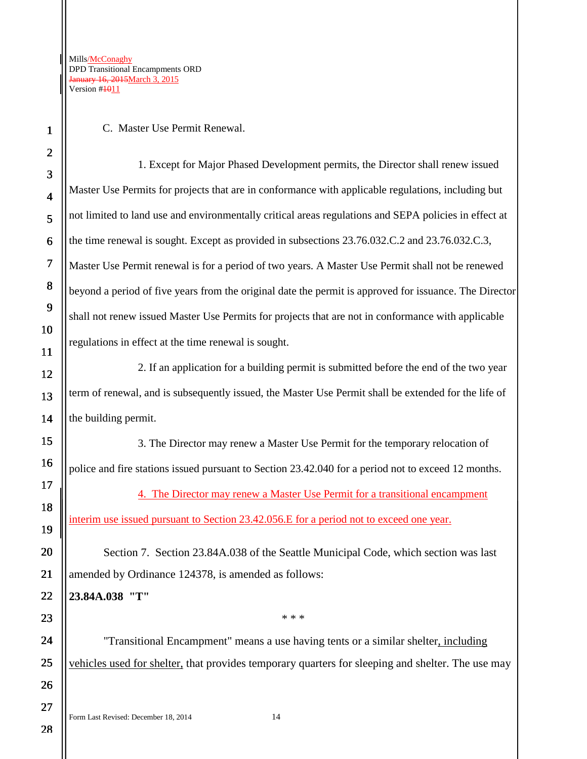C. Master Use Permit Renewal.

1. Except for Major Phased Development permits, the Director shall renew issued Master Use Permits for projects that are in conformance with applicable regulations, including but not limited to land use and environmentally critical areas regulations and SEPA policies in effect at the time renewal is sought. Except as provided in subsections 23.76.032.C.2 and 23.76.032.C.3, Master Use Permit renewal is for a period of two years. A Master Use Permit shall not be renewed beyond a period of five years from the original date the permit is approved for issuance. The Director shall not renew issued Master Use Permits for projects that are not in conformance with applicable regulations in effect at the time renewal is sought.

2. If an application for a building permit is submitted before the end of the two year term of renewal, and is subsequently issued, the Master Use Permit shall be extended for the life of the building permit.

3. The Director may renew a Master Use Permit for the temporary relocation of police and fire stations issued pursuant to Section 23.42.040 for a period not to exceed 12 months.

4. The Director may renew a Master Use Permit for a transitional encampment interim use issued pursuant to Section 23.42.056.E for a period not to exceed one year.

Section 7. Section 23.84A.038 of the Seattle Municipal Code, which section was last amended by Ordinance 124378, is amended as follows:

**23.84A.038 "T"** 

"Transitional Encampment" means a use having tents or a similar shelter, including vehicles used for shelter, that provides temporary quarters for sleeping and shelter. The use may

\* \* \*

Form Last Revised: December 18, 2014 14

1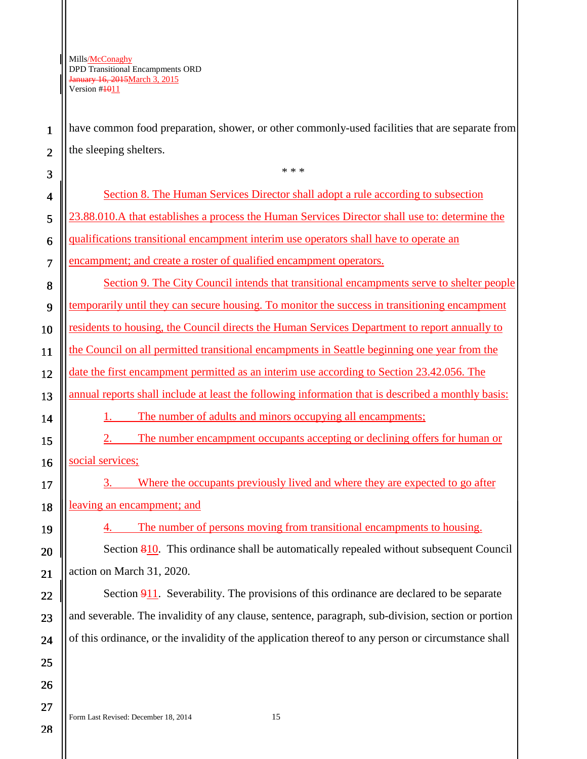1

2

3

have common food preparation, shower, or other commonly-used facilities that are separate from the sleeping shelters.

\* \* \*

4 5 6 7 8 9 10 11 12 13 14 15 16 17 18 19 20 21 22 23 24 25 26 Section 8. The Human Services Director shall adopt a rule according to subsection 23.88.010.A that establishes a process the Human Services Director shall use to: determine the qualifications transitional encampment interim use operators shall have to operate an encampment; and create a roster of qualified encampment operators. Section 9. The City Council intends that transitional encampments serve to shelter people temporarily until they can secure housing. To monitor the success in transitioning encampment residents to housing, the Council directs the Human Services Department to report annually to the Council on all permitted transitional encampments in Seattle beginning one year from the date the first encampment permitted as an interim use according to Section 23.42.056. The annual reports shall include at least the following information that is described a monthly basis: 1. The number of adults and minors occupying all encampments; 2. The number encampment occupants accepting or declining offers for human or social services; 3. Where the occupants previously lived and where they are expected to go after leaving an encampment; and 4. The number of persons moving from transitional encampments to housing. Section 810. This ordinance shall be automatically repealed without subsequent Council action on March 31, 2020. Section 911. Severability. The provisions of this ordinance are declared to be separate and severable. The invalidity of any clause, sentence, paragraph, sub-division, section or portion of this ordinance, or the invalidity of the application thereof to any person or circumstance shall

28